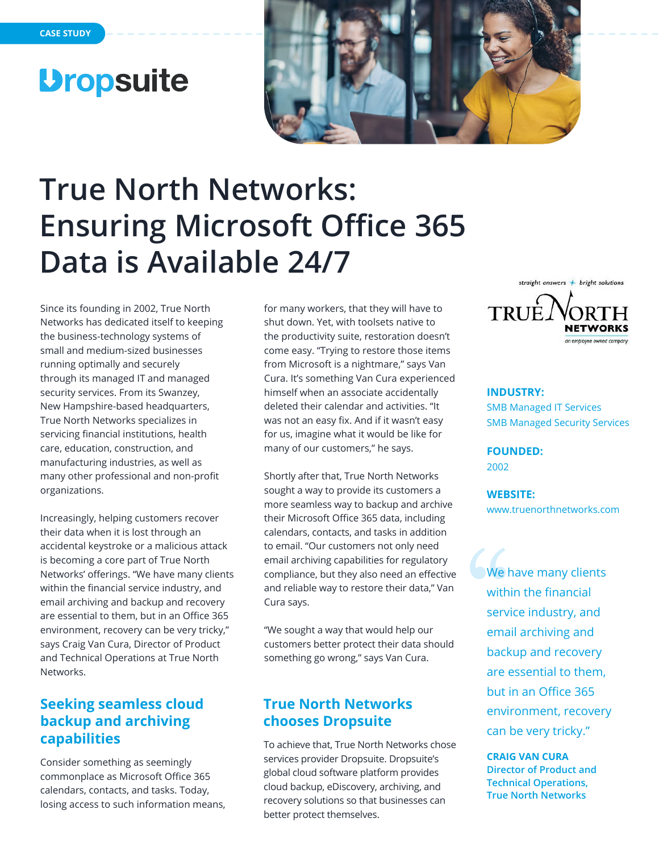# *<u>Dropsuite</u>*



# **True North Networks: Ensuring Microsoft Office 365 Data is Available 24/7**

Since its founding in 2002, True North Networks has dedicated itself to keeping the business-technology systems of small and medium-sized businesses running optimally and securely through its managed IT and managed security services. From its Swanzey, New Hampshire-based headquarters, True North Networks specializes in servicing financial institutions, health care, education, construction, and manufacturing industries, as well as many other professional and non-profit organizations.

Increasingly, helping customers recover their data when it is lost through an accidental keystroke or a malicious attack is becoming a core part of True North Networks' offerings. "We have many clients within the financial service industry, and email archiving and backup and recovery are essential to them, but in an Office 365 environment, recovery can be very tricky," says Craig Van Cura, Director of Product and Technical Operations at True North Networks.

## **Seeking seamless cloud backup and archiving capabilities**

Consider something as seemingly commonplace as Microsoft Office 365 calendars, contacts, and tasks. Today, losing access to such information means, for many workers, that they will have to shut down. Yet, with toolsets native to the productivity suite, restoration doesn't come easy. "Trying to restore those items from Microsoft is a nightmare," says Van Cura. It's something Van Cura experienced himself when an associate accidentally deleted their calendar and activities. "It was not an easy fix. And if it wasn't easy for us, imagine what it would be like for many of our customers," he says.

Shortly after that, True North Networks sought a way to provide its customers a more seamless way to backup and archive their Microsoft Office 365 data, including calendars, contacts, and tasks in addition to email. "Our customers not only need email archiving capabilities for regulatory compliance, but they also need an effective and reliable way to restore their data," Van Cura says.

"We sought a way that would help our customers better protect their data should something go wrong," says Van Cura.

## **True North Networks chooses Dropsuite**

To achieve that, True North Networks chose services provider Dropsuite. Dropsuite's global cloud software platform provides cloud backup, eDiscovery, archiving, and recovery solutions so that businesses can better protect themselves.



#### **INDUSTRY:**

SMB Managed IT Services SMB Managed Security Services

**FOUNDED:**  2002

**WEBSITE:**  www.truenorthnetworks.com

We have many clients within the financial service industry, and email archiving and backup and recovery are essential to them, but in an Office 365 environment, recovery can be very tricky."

**CRAIG VAN CURA Director of Product and Technical Operations, True North Networks**